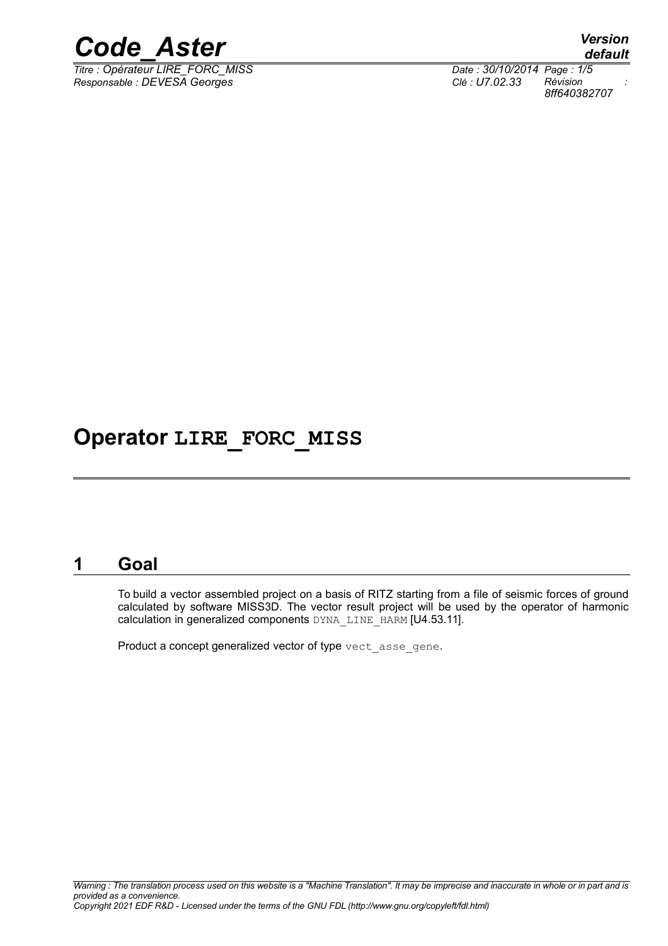

*Titre : Opérateur LIRE\_FORC\_MISS Date : 30/10/2014 Page : 1/5 Responsable : DEVESA Georges Clé : U7.02.33 Révision :*

*default 8ff640382707*

## **Operator LIRE\_FORC\_MISS**

#### **1 Goal**

To build a vector assembled project on a basis of RITZ starting from a file of seismic forces of ground calculated by software MISS3D. The vector result project will be used by the operator of harmonic calculation in generalized components DYNA\_LINE\_HARM [U4.53.11].

Product a concept generalized vector of type vect asse gene.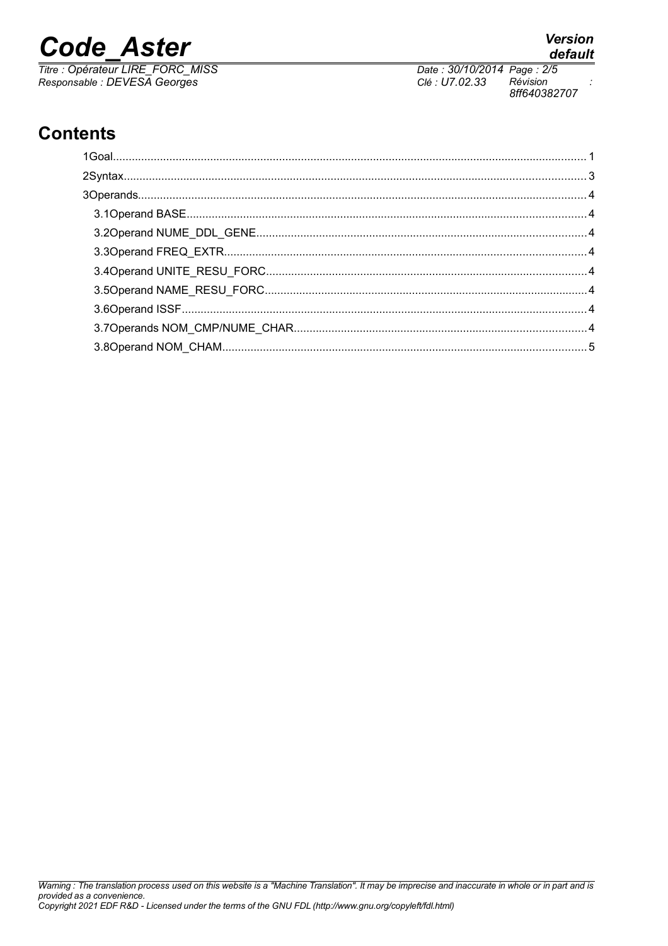# **Code Aster**

Titre : Opérateur LIRE\_FORC\_MISS<br>Responsable : DEVESA Georges

Date: 30/10/2014 Page: 2/5 Clé : U7.02.33 Révision 8ff640382707

## **Contents**

**Version** default

 $\ddot{\cdot}$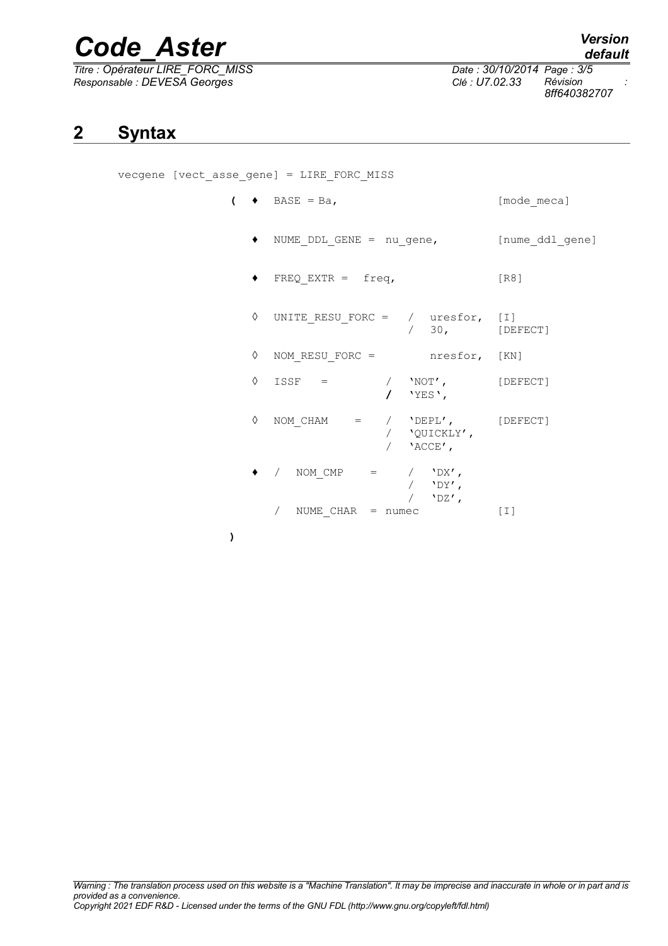# *Code\_Aster Version*

*Titre : Opérateur LIRE\_FORC\_MISS Date : 30/10/2014 Page : 3/5 Responsable : DEVESA Georges Clé : U7.02.33 Révision :*

*default 8ff640382707*

## **2 Syntax**

vecgene [vect\_asse\_gene] = LIRE\_FORC\_MISS

- $\left(\begin{array}{ccc} \bullet & \text{BASE} & = \text{Ba}, \end{array}\right)$  [mode\_meca]
	- ♦ NUME\_DDL\_GENE = nu\_gene, [nume\_ddl\_gene]
	- $\bullet$  FREQ EXTR = freq, [R8]

|   | $\Diamond$ UNITE RESU FORC = / uresfor, [I] | $/$ 30,                                         | [DEFECT] |
|---|---------------------------------------------|-------------------------------------------------|----------|
| ♦ | NOM RESU FORC =                             | nresfor, [KN]                                   |          |
| ♦ | $ISSF =$                                    | $'NOT'$ ,<br>$\prime$ 'YES',                    | [DEFECT] |
| ♦ | NOM CHAM<br>$=$ /                           | 'DEPL', [DEFECT]<br>/ 'QUICKLY',<br>$/$ 'ACCE', |          |
|   | NOM CMP<br>$\alpha = 1$                     | $'DX'$ ,<br>$'$ DY',<br>$'$ DZ',                |          |
|   | NUME $CHAR = numec$                         |                                                 | [ I ]    |

**)**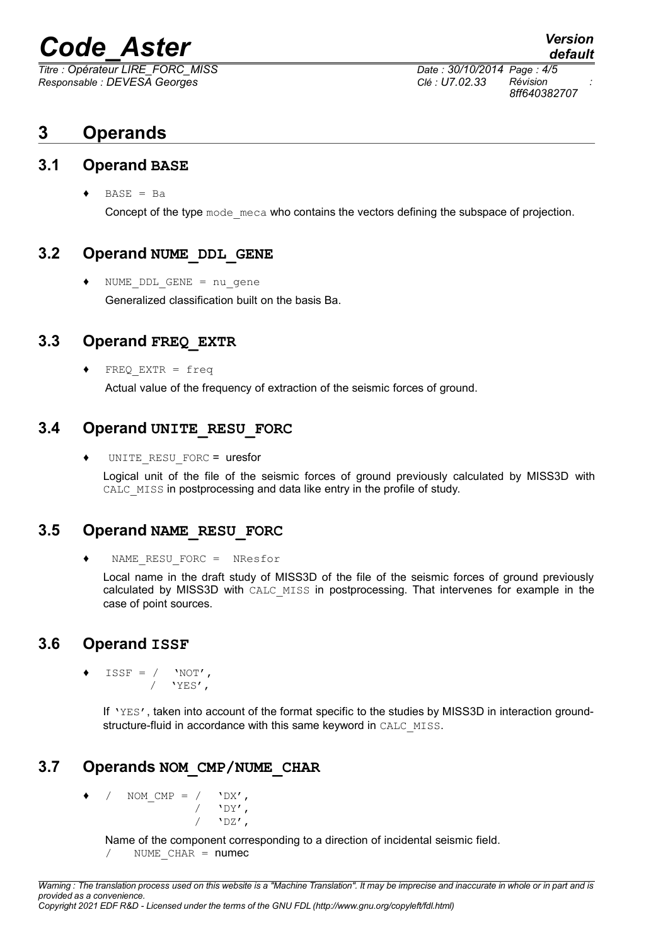## *Code\_Aster Version*

*Responsable : DEVESA Georges Clé : U7.02.33 Révision :*

*Titre : Opérateur LIRE\_FORC\_MISS Date : 30/10/2014 Page : 4/5 8ff640382707*

*default*

### **3 Operands**

#### **3.1 Operand BASE**

 $\triangleleft$  BASE = Ba

Concept of the type mode meca who contains the vectors defining the subspace of projection.

#### **3.2 Operand NUME\_DDL\_GENE**

♦ NUME\_DDL\_GENE = nu\_gene Generalized classification built on the basis Ba.

#### **3.3 Operand FREQ\_EXTR**

 $FREQ$  EXTR = freq Actual value of the frequency of extraction of the seismic forces of ground.

#### **3.4 Operand UNITE\_RESU\_FORC**

♦ UNITE\_RESU\_FORC = uresfor

Logical unit of the file of the seismic forces of ground previously calculated by MISS3D with CALC\_MISS in postprocessing and data like entry in the profile of study.

#### **3.5 Operand NAME\_RESU\_FORC**

♦ NAME\_RESU\_FORC = NResfor

Local name in the draft study of MISS3D of the file of the seismic forces of ground previously calculated by MISS3D with CALC\_MISS in postprocessing. That intervenes for example in the case of point sources.

#### **3.6 Operand ISSF**

 $ISSF = / 'NOT',$  $/$  'YES',

> If 'YES', taken into account of the format specific to the studies by MISS3D in interaction groundstructure-fluid in accordance with this same keyword in CALC\_MISS.

#### **3.7 Operands NOM\_CMP/NUME\_CHAR**

NOM CMP =  $/$  'DX',  $\sqrt{2}$  'DY',  $'$ <sub>DZ</sub> $'$ ,

Name of the component corresponding to a direction of incidental seismic field.

/ NUME CHAR = numec